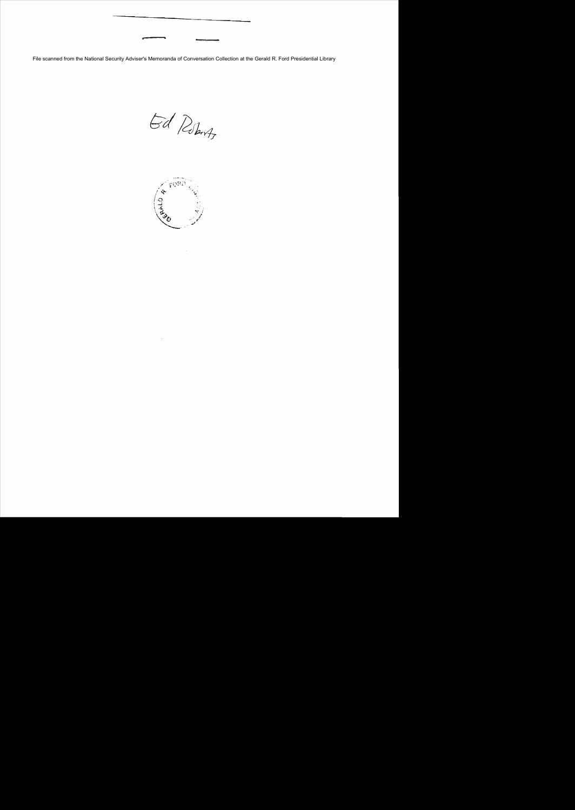File scanned from the National Security Adviser's Memoranda of Conversation Collection at the Gerald R. Ford Presidential Library

Ed Roberts

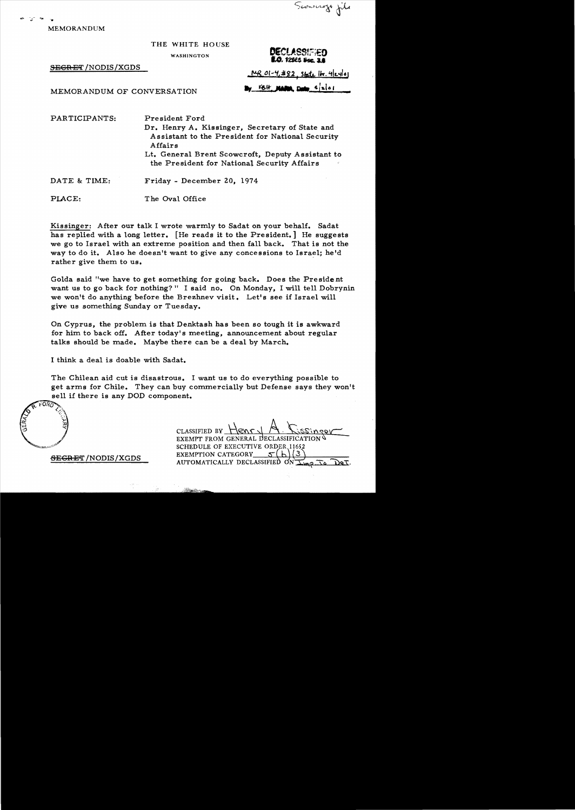Sconscropt file

- -... .. MEMORANDUM

THE WHITE HOUSE

WASHINGTON **DECLASS** 

SEGRET / NODIS / XGDS

<u>MR 01-4,#82, state</u> It. 4 eylor

**1.0**. 1253 Se

MEMORANDUM OF CONVERSATION By ELL, NAM, Date side

PARTICIPANTS:

President Ford

Dr. Henry A. Kissinger, Secretary of State and Assistant to the President for National Security Affairs

Lt. General Brent Scowcroft, Deputy Assistant to the President for National Security Affairs

DATE & TIME: Friday - December 20, 1974

PLACE: T he Oval Office

Kissinger: After our talk I wrote warmly to Sadat on your behalf. Sadat has replied with a long letter. [He reads it to the President.] He suggests we go to Israel with an extreme position and then fall back. That is not the way to do it. Also he doesn't want to give any concessions to Israel; he'd rather give them to us.

Golda said "we have to get something for going back. Does the President want us to go back for nothing?" I said no. On Monday, I will tell Dobrynin we won't do anything before the Brezhnev visit. Let's see if Israel will give us something Sunday or Tuesday.

On Cyprus, the problem is that Denktash has been so tough it is awkward for him to back off. After today's meeting, announcement about regular talks should be made. Maybe there can be a deal by March.

I think a deal is doable with Sadat.

The Chilean aid cut is disastrous. I want us to do everything possible to get arms for Chile. They can buy commercially but Defense says they won't sell if there is any DOD component.

 $FORO$ *OI"ORD()J.*  '-.y.. [고 -( • .'<~

SECRET /NODIS/XGDS

EXEMPT FROM GENERAL DECLASSIFI

SCHEDULE OF EXECUTIVE ORDER 11652<br>EXEMPTION CATEGORY 5(b)(3) EXEMPTION CATEGORY 5(b)<br>AUTOMATICALLY DECLASSIFIED ON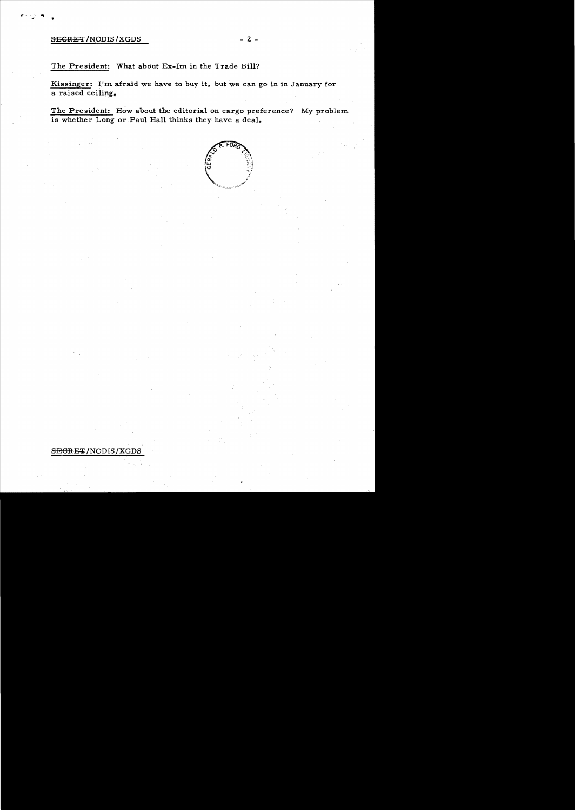## SECRET/NODIS/XGDS

The President: What about Ex-Im in the Trade Bill?

Kissinger: I'm afraid we have to buy it, but we can go in in January for a raised ceiling.

The President: How about the editorial on cargo preference? My problem is whether Long or Paul Hall thinks they have a deal.



## SEGRET/NODIS/XGDS